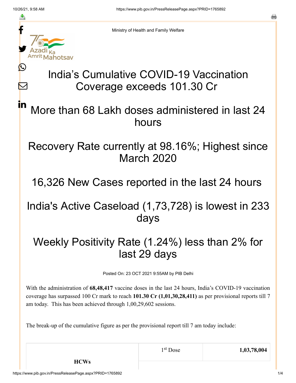≛

Ŀ

 $\bm{\nabla}$ 

in



Ministry of Health and Family Welfare

## India's Cumulative COVID-19 Vaccination Coverage exceeds 101.30 Cr

More than 68 Lakh doses administered in last 24 hours

Recovery Rate currently at 98.16%; Highest since March 2020

16,326 New Cases reported in the last 24 hours

India's Active Caseload (1,73,728) is lowest in 233 days

Weekly Positivity Rate (1.24%) less than 2% for last 29 days

Posted On: 23 OCT 2021 9:55AM by PIB Delhi

With the administration of **68,48,417** vaccine doses in the last 24 hours, India's COVID-19 vaccination coverage has surpassed 100 Cr mark to reach **101.30 Cr (1,01,30,28,411)** as per provisional reports till 7 am today. This has been achieved through 1,00,29,602 sessions.

The break-up of the cumulative figure as per the provisional report till 7 am today include:

**HCWs**

1<sup>st</sup> Dose 1,03,78,004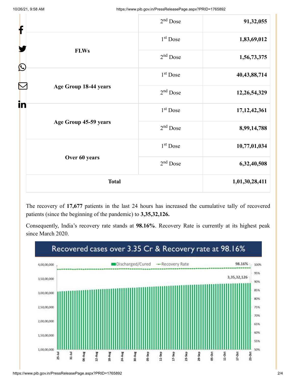| f                                | $2nd$ Dose           | 91,32,055       |
|----------------------------------|----------------------|-----------------|
|                                  | 1 <sup>st</sup> Dose | 1,83,69,012     |
| <b>FLWs</b><br>$\mathbf{\Omega}$ | $2nd$ Dose           | 1,56,73,375     |
|                                  | 1 <sup>st</sup> Dose | 40, 43, 88, 714 |
| Age Group 18-44 years<br>in      | $2nd$ Dose           | 12,26,54,329    |
|                                  | 1 <sup>st</sup> Dose | 17, 12, 42, 361 |
| Age Group 45-59 years            | $2nd$ Dose           | 8,99,14,788     |
|                                  | 1 <sup>st</sup> Dose | 10,77,01,034    |
| Over 60 years                    | $2nd$ Dose           | 6,32,40,508     |
| <b>Total</b>                     |                      | 1,01,30,28,411  |

The recovery of **17,677** patients in the last 24 hours has increased the cumulative tally of recovered patients (since the beginning of the pandemic) to **3,35,32,126.**

Consequently, India's recovery rate stands at **98.16%**. Recovery Rate is currently at its highest peak since March 2020.

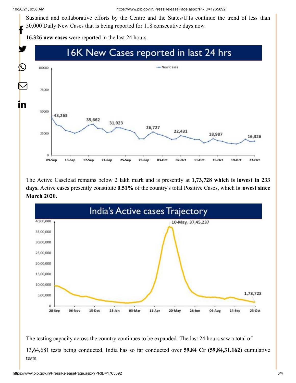Sustained and collaborative efforts by the Centre and the States/UTs continue the trend of less than 50,000 Daily New Cases that is being reported for 118 consecutive days now. f

**16,326 new cases** were reported in the last 24 hours.



The Active Caseload remains below 2 lakh mark and is presently at **1,73,728 which is lowest in 233 days.** Active cases presently constitute **0.51%** of the country's total Positive Cases, which **is lowest since March 2020.**



The testing capacity across the country continues to be expanded. The last 24 hours saw a total of 13,64,681 tests being conducted. India has so far conducted over **59.84 Cr (59,84,31,162**) cumulative tests.